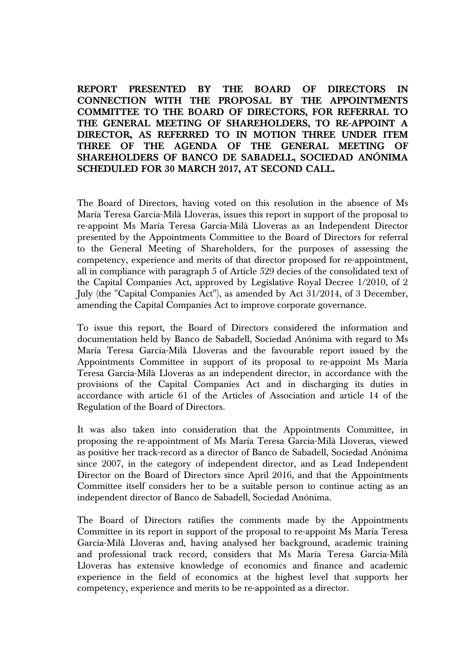**REPORT PRESENTED BY THE BOARD OF DIRECTORS IN CONNECTION WITH THE PROPOSAL BY THE APPOINTMENTS COMMITTEE TO THE BOARD OF DIRECTORS, FOR REFERRAL TO THE GENERAL MEETING OF SHAREHOLDERS, TO RE-APPOINT A DIRECTOR, AS REFERRED TO IN MOTION THREE UNDER ITEM** THREE OF THE AGENDA OF THE GENERAL MEETING **SHAREHOLDERS OF BANCO DE SABADELL, SOCIEDAD ANÓNIMA SCHEDULED FOR 30 MARCH 2017, AT SECOND CALL.** 

The Board of Directors, having voted on this resolution in the absence of Ms María Teresa Garcia-Milà Lloveras, issues this report in support of the proposal to re-appoint Ms María Teresa Garcia-Milà Lloveras as an Independent Director presented by the Appointments Committee to the Board of Directors for referral to the General Meeting of Shareholders, for the purposes of assessing the competency, experience and merits of that director proposed for re-appointment, all in compliance with paragraph 5 of Article 529 decies of the consolidated text of the Capital Companies Act, approved by Legislative Royal Decree 1/2010, of 2 July (the "Capital Companies Act"), as amended by Act 31/2014, of 3 December, amending the Capital Companies Act to improve corporate governance.

To issue this report, the Board of Directors considered the information and documentation held by Banco de Sabadell, Sociedad Anónima with regard to Ms María Teresa Garcia-Milà Lloveras and the favourable report issued by the Appointments Committee in support of its proposal to re-appoint Ms María Teresa Garcia-Milà Lloveras as an independent director, in accordance with the provisions of the Capital Companies Act and in discharging its duties in accordance with article 61 of the Articles of Association and article 14 of the Regulation of the Board of Directors.

It was also taken into consideration that the Appointments Committee, in proposing the re-appointment of Ms María Teresa Garcia-Milà Lloveras, viewed as positive her track-record as a director of Banco de Sabadell, Sociedad Anónima since 2007, in the category of independent director, and as Lead Independent Director on the Board of Directors since April 2016, and that the Appointments Committee itself considers her to be a suitable person to continue acting as an independent director of Banco de Sabadell, Sociedad Anónima.

The Board of Directors ratifies the comments made by the Appointments Committee in its report in support of the proposal to re-appoint Ms María Teresa Garcia-Milà Lloveras and, having analysed her background, academic training and professional track record, considers that Ms María Teresa Garcia-Milà Lloveras has extensive knowledge of economics and finance and academic experience in the field of economics at the highest level that supports her competency, experience and merits to be re-appointed as a director.